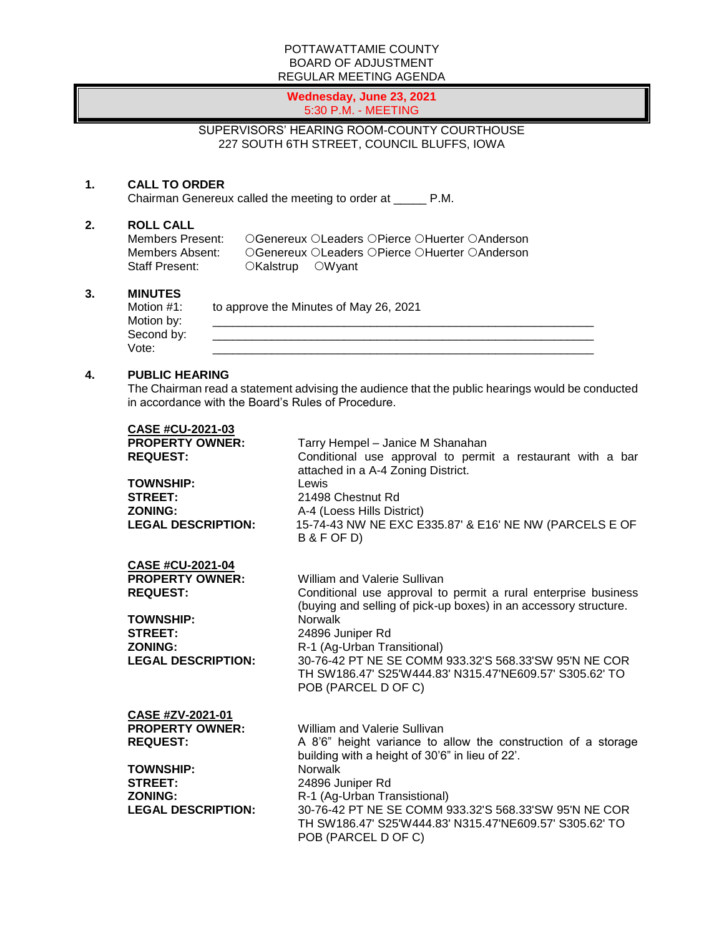### POTTAWATTAMIE COUNTY BOARD OF ADJUSTMENT REGULAR MEETING AGENDA

#### **Wednesday, June 23, 2021** 5:30 P.M. - MEETING

## SUPERVISORS' HEARING ROOM-COUNTY COURTHOUSE 227 SOUTH 6TH STREET, COUNCIL BLUFFS, IOWA

## **1. CALL TO ORDER**

Chairman Genereux called the meeting to order at \_\_\_\_\_ P.M.

# **2. ROLL CALL**

Members Present: CGenereux OLeaders OPierce OHuerter OAnderson<br>Members Absent: CGenereux OLeaders OPierce OHuerter OAnderson Members Absent: Genereux OLeaders OPierce OHuerter OAnderson<br>Staff Present: CKalstrup OWvant OKalstrup OWyant

### **3. MINUTES**

| Motion #1: | to approve the Minutes of May 26, 2021 |
|------------|----------------------------------------|
| Motion by: |                                        |
| Second by: |                                        |
| Vote:      |                                        |

### **4. PUBLIC HEARING**

The Chairman read a statement advising the audience that the public hearings would be conducted in accordance with the Board's Rules of Procedure.

| <b>CASE #CU-2021-03</b><br><b>PROPERTY OWNER:</b><br><b>REQUEST:</b><br><b>TOWNSHIP:</b><br><b>STREET:</b><br><b>ZONING:</b><br><b>LEGAL DESCRIPTION:</b> | Tarry Hempel - Janice M Shanahan<br>Conditional use approval to permit a restaurant with a bar<br>attached in a A-4 Zoning District.<br>Lewis<br>21498 Chestnut Rd<br>A-4 (Loess Hills District)<br>15-74-43 NW NE EXC E335.87' & E16' NE NW (PARCELS E OF<br>B & F OF D)                                                                                                   |
|-----------------------------------------------------------------------------------------------------------------------------------------------------------|-----------------------------------------------------------------------------------------------------------------------------------------------------------------------------------------------------------------------------------------------------------------------------------------------------------------------------------------------------------------------------|
| CASE #CU-2021-04<br><b>PROPERTY OWNER:</b><br><b>REQUEST:</b><br><b>TOWNSHIP:</b><br><b>STREET:</b><br><b>ZONING:</b><br><b>LEGAL DESCRIPTION:</b>        | William and Valerie Sullivan<br>Conditional use approval to permit a rural enterprise business<br>(buying and selling of pick-up boxes) in an accessory structure.<br>Norwalk<br>24896 Juniper Rd<br>R-1 (Ag-Urban Transitional)<br>30-76-42 PT NE SE COMM 933.32'S 568.33'SW 95'N NE COR<br>TH SW186.47' S25'W444.83' N315.47'NE609.57' S305.62' TO<br>POB (PARCEL D OF C) |
| CASE #ZV-2021-01<br><b>PROPERTY OWNER:</b><br><b>REQUEST:</b><br><b>TOWNSHIP:</b><br><b>STREET:</b><br><b>ZONING:</b><br><b>LEGAL DESCRIPTION:</b>        | William and Valerie Sullivan<br>A 8'6" height variance to allow the construction of a storage<br>building with a height of 30'6" in lieu of 22'.<br><b>Norwalk</b><br>24896 Juniper Rd<br>R-1 (Ag-Urban Transistional)<br>30-76-42 PT NE SE COMM 933.32'S 568.33'SW 95'N NE COR<br>TH SW186.47' S25'W444.83' N315.47'NE609.57' S305.62' TO<br>POB (PARCEL D OF C)           |